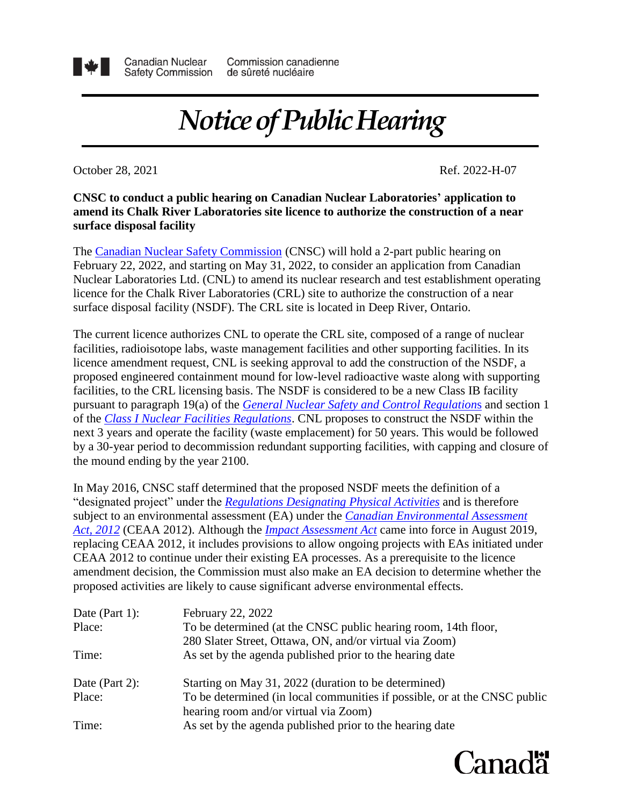

## *Notice of Public Hearing*

October 28, 2021 Ref. 2022-H-07

## **surface disposal facility amend its Chalk River Laboratories site licence to authorize the construction of a near CNSC to conduct a public hearing on Canadian Nuclear Laboratories' application to**

surface disposal facility (NSDF). The CRL site is located in Deep River, Ontario. licence for the Chalk River Laboratories (CRL) site to authorize the construction of a near Nuclear Laboratories Ltd. (CNL) to amend its nuclear research and test establishment operating February 22, 2022, and starting on May 31, 2022, to consider an application from Canadian The [Canadian Nuclear Safety Commission](http://www.nuclearsafety.gc.ca/eng/) (CNSC) will hold a 2-part public hearing on

the mound ending by the year 2100. by a 30-year period to decommission redundant supporting facilities, with capping and closure of next 3 years and operate the facility (waste emplacement) for 50 years. This would be followed of the *[Class I Nuclear Facilities Regulations](https://laws.justice.gc.ca/eng/regulations/sor-2000-204/page-1.html)*. CNL proposes to construct the NSDF within the pursuant to paragraph 19(a) of the *[General Nuclear Safety and Control Regulation](https://laws-lois.justice.gc.ca/eng/regulations/SOR-2000-202/page-3.html#h-656584)*s and section 1 facilities, to the CRL licensing basis. The NSDF is considered to be a new Class IB facility proposed engineered containment mound for low-level radioactive waste along with supporting licence amendment request, CNL is seeking approval to add the construction of the NSDF, a facilities, radioisotope labs, waste management facilities and other supporting facilities. In its The current licence authorizes CNL to operate the CRL site, composed of a range of nuclear

*[Act, 2012](https://laws-lois.justice.gc.ca/eng/acts/C-15.21/index.html)* (CEAA 2012). Although the *[Impact Assessment Act](https://laws.justice.gc.ca/eng/acts/I-2.75/index.html)* came into force in August 2019, replacing CEAA 2012, it includes provisions to allow ongoing projects with EAs initiated under CEAA 2012 to continue under their existing EA processes. As a prerequisite to the licence amendment decision, the Commission must also make an EA decision to determine whether the proposed activities are likely to cause significant adverse environmental effects. subject to an environmental assessment (EA) under the *[Canadian Environmental Assessment](https://laws-lois.justice.gc.ca/eng/acts/C-15.21/index.html)* "designated project" under the *[Regulations Designating](https://laws-lois.justice.gc.ca/eng/Regulations/SOR-2012-147/FullText.html) Physical Activities* and is therefore In May 2016, CNSC staff determined that the proposed NSDF meets the definition of a

| Date (Part 1): | February 22, 2022                                                         |
|----------------|---------------------------------------------------------------------------|
| Place:         | To be determined (at the CNSC public hearing room, 14th floor,            |
|                | 280 Slater Street, Ottawa, ON, and/or virtual via Zoom)                   |
| Time:          | As set by the agenda published prior to the hearing date                  |
| Date (Part 2): | Starting on May 31, 2022 (duration to be determined)                      |
| Place:         | To be determined (in local communities if possible, or at the CNSC public |
|                | hearing room and/or virtual via Zoom)                                     |
| Time:          | As set by the agenda published prior to the hearing date                  |